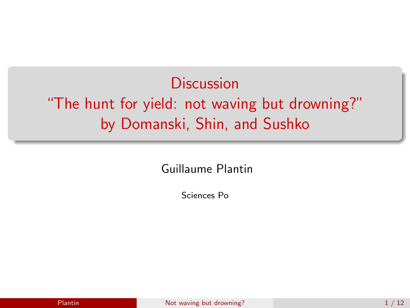**Discussion** "The hunt for yield: not waving but drowning?" by Domanski, Shin, and Sushko

Guillaume Plantin

<span id="page-0-0"></span>Sciences Po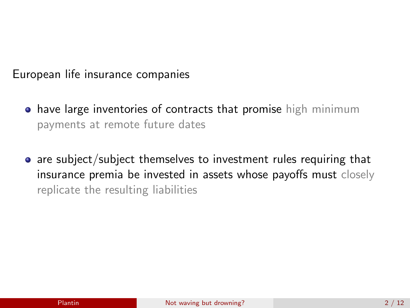European life insurance companies

- **have large inventories of contracts that promise high minimum** payments at remote future dates
- are subject/subject themselves to investment rules requiring that insurance premia be invested in assets whose payoffs must closely replicate the resulting liabilities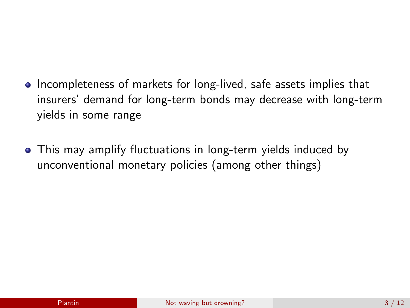- Incompleteness of markets for long-lived, safe assets implies that insurers' demand for long-term bonds may decrease with long-term yields in some range
- This may amplify fluctuations in long-term yields induced by unconventional monetary policies (among other things)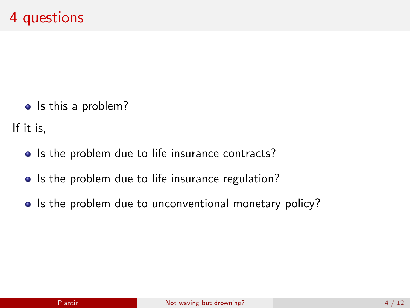• Is this a problem?

If it is,

- Is the problem due to life insurance contracts?
- Is the problem due to life insurance regulation?
- Is the problem due to unconventional monetary policy?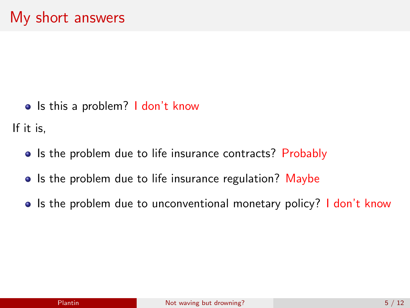• Is this a problem? I don't know

If it is,

- Is the problem due to life insurance contracts? Probably
- Is the problem due to life insurance regulation? Maybe
- Is the problem due to unconventional monetary policy? I don't know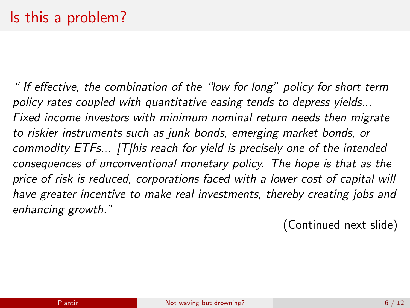" If effective, the combination of the "low for long" policy for short term policy rates coupled with quantitative easing tends to depress yields... Fixed income investors with minimum nominal return needs then migrate to riskier instruments such as junk bonds, emerging market bonds, or commodity ETFs... [T]his reach for yield is precisely one of the intended consequences of unconventional monetary policy. The hope is that as the price of risk is reduced, corporations faced with a lower cost of capital will have greater incentive to make real investments, thereby creating jobs and enhancing growth."

(Continued next slide)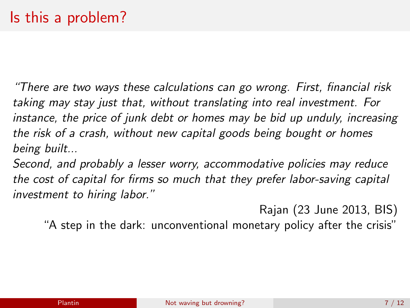"There are two ways these calculations can go wrong. First, financial risk taking may stay just that, without translating into real investment. For instance, the price of junk debt or homes may be bid up unduly, increasing the risk of a crash, without new capital goods being bought or homes being built...

Second, and probably a lesser worry, accommodative policies may reduce the cost of capital for firms so much that they prefer labor-saving capital investment to hiring labor."

Rajan (23 June 2013, BIS)

"A step in the dark: unconventional monetary policy after the crisis"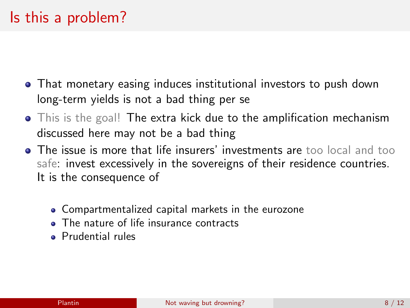## Is this a problem?

- That monetary easing induces institutional investors to push down long-term yields is not a bad thing per se
- This is the goal! The extra kick due to the amplification mechanism discussed here may not be a bad thing
- The issue is more that life insurers' investments are too local and too safe: invest excessively in the sovereigns of their residence countries. It is the consequence of
	- Compartmentalized capital markets in the eurozone
	- The nature of life insurance contracts
	- Prudential rules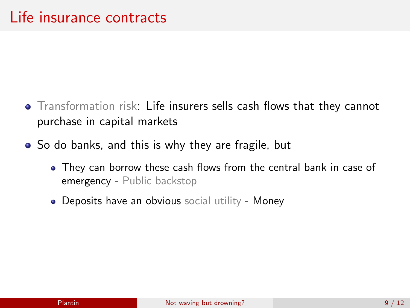- Transformation risk: Life insurers sells cash flows that they cannot purchase in capital markets
- So do banks, and this is why they are fragile, but
	- They can borrow these cash flows from the central bank in case of emergency - Public backstop
	- Deposits have an obvious social utility Money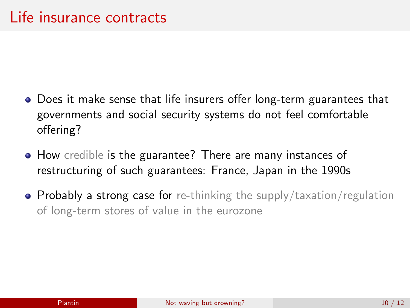- Does it make sense that life insurers offer long-term guarantees that governments and social security systems do not feel comfortable offering?
- How credible is the guarantee? There are many instances of restructuring of such guarantees: France, Japan in the 1990s
- Probably a strong case for re-thinking the supply/taxation/regulation of long-term stores of value in the eurozone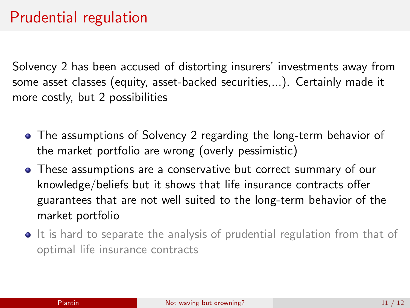## Prudential regulation

Solvency 2 has been accused of distorting insurers' investments away from some asset classes (equity, asset-backed securities,...). Certainly made it more costly, but 2 possibilities

- The assumptions of Solvency 2 regarding the long-term behavior of the market portfolio are wrong (overly pessimistic)
- These assumptions are a conservative but correct summary of our knowledge/beliefs but it shows that life insurance contracts offer guarantees that are not well suited to the long-term behavior of the market portfolio
- It is hard to separate the analysis of prudential regulation from that of optimal life insurance contracts